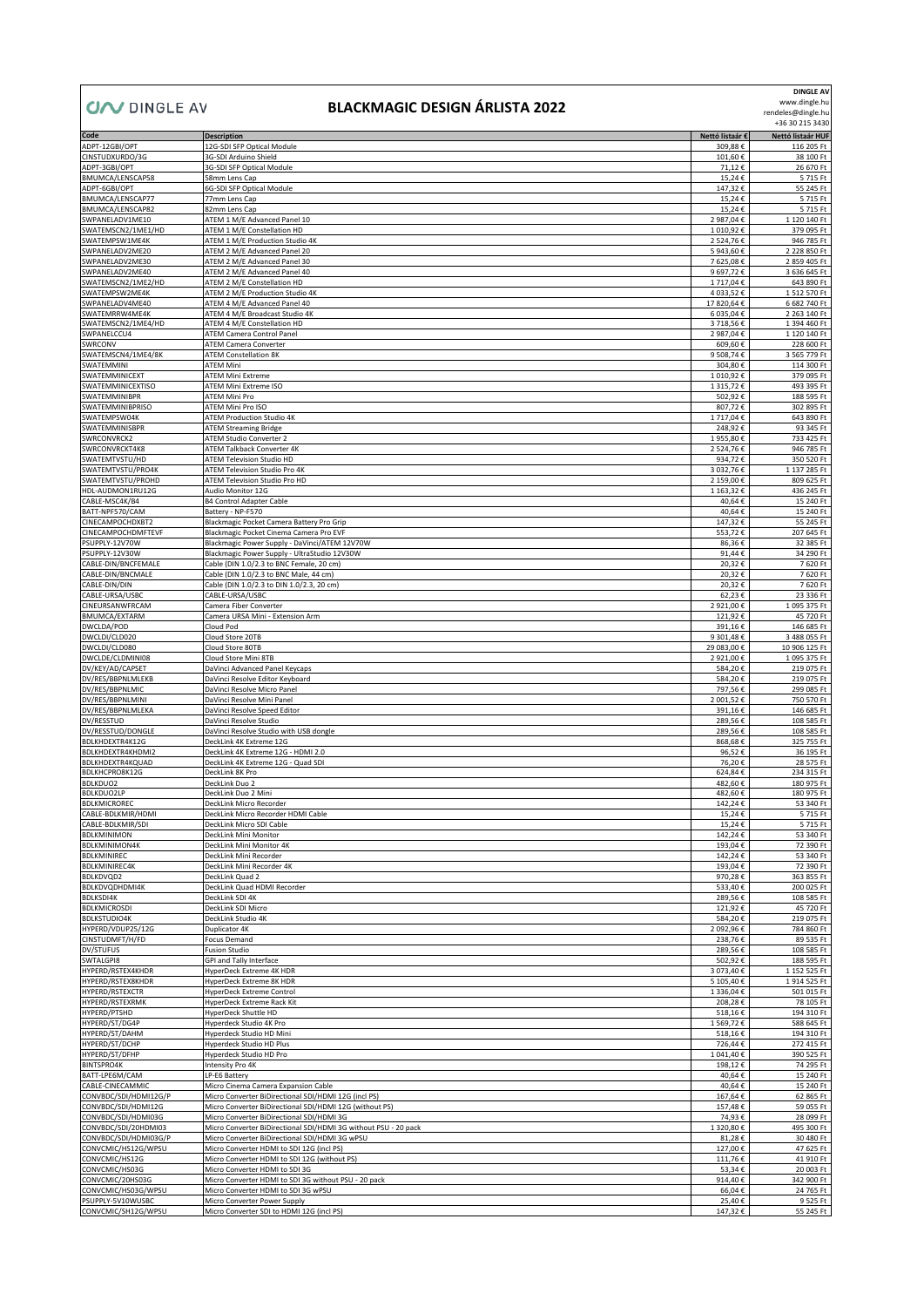## $\sqrt{\text{NMS}}$   $\in$  AV **UN**

## **BLACKMAGIC DESIGN ÁRLISTA 2022**

**DINGLE AV** www.dingle.hu

| <b>UZV</b> DINGLE AV                          | BLACKMAGIC DESIGN AKLISTA 2022                                                                                    |                         | rendeles@dingle.hu<br>+36 30 215 3430 |
|-----------------------------------------------|-------------------------------------------------------------------------------------------------------------------|-------------------------|---------------------------------------|
| Code                                          | <b>Description</b>                                                                                                | Nettó listaár €         | Nettó listaár HUF                     |
| ADPT-12GBI/OPT<br>CINSTUDXURDO/3G             | 12G-SDI SFP Optical Module<br>3G-SDI Arduino Shield                                                               | 309,88€<br>101,60€      | 116 205 Ft<br>38 100 Ft               |
| ADPT-3GBI/OPT                                 | 3G-SDI SFP Optical Module                                                                                         | 71,12€                  | 26 670 Ft                             |
| BMUMCA/LENSCAP58<br>ADPT-6GBI/OPT             | 58mm Lens Cap<br>6G-SDI SFP Optical Module                                                                        | 15,24€<br>147,32€       | 5715 Ft<br>55 245 Ft                  |
| BMUMCA/LENSCAP77                              | 77mm Lens Cap                                                                                                     | 15,24€                  | 5715 Ft                               |
| BMUMCA/LENSCAP82<br>SWPANELADV1ME10           | 82mm Lens Cap<br>ATEM 1 M/E Advanced Panel 10                                                                     | 15,24€<br>2 987,04 €    | 5715 Ft<br>1 120 140 Ft               |
| SWATEMSCN2/1ME1/HD                            | ATEM 1 M/E Constellation HD                                                                                       | 1 010,92€               | 379 095 Ft                            |
| SWATEMPSW1ME4K<br>SWPANELADV2ME20             | ATEM 1 M/E Production Studio 4K<br>ATEM 2 M/E Advanced Panel 20                                                   | 2 524,76€<br>5 943,60 € | 946 785 Ft<br>2 228 850 Ft            |
| SWPANELADV2ME30                               | ATEM 2 M/E Advanced Panel 30                                                                                      | 7625,08€                | 2 859 405 Ft                          |
| SWPANELADV2ME40                               | ATEM 2 M/E Advanced Panel 40                                                                                      | 9 697,72€               | 3 636 645 Ft                          |
| SWATEMSCN2/1ME2/HD<br>SWATEMPSW2ME4K          | ATEM 2 M/E Constellation HD<br>ATEM 2 M/E Production Studio 4K                                                    | 1717,04€<br>4 033,52 €  | 643 890 Ft<br>1 512 570 Ft            |
| SWPANELADV4ME40                               | ATEM 4 M/E Advanced Panel 40                                                                                      | 17 820,64 €             | 6 682 740 Ft                          |
| SWATEMRRW4ME4K<br>SWATEMSCN2/1ME4/HD          | ATEM 4 M/E Broadcast Studio 4K<br>ATEM 4 M/E Constellation HD                                                     | 6 035,04 €<br>3718,56€  | 2 263 140 Ft<br>1 394 460 Ft          |
| SWPANELCCU4                                   | ATEM Camera Control Panel                                                                                         | 2 987,04 €              | 1 120 140 Ft                          |
| SWRCONV<br>SWATEMSCN4/1ME4/8K                 | <b>ATEM Camera Converter</b><br><b>ATEM Constellation 8K</b>                                                      | 609,60€<br>9 508,74 €   | 228 600 Ft<br>3 565 779 Ft            |
| SWATEMMINI                                    | ATEM Mini                                                                                                         | 304,80€                 | 114 300 Ft                            |
| SWATEMMINICEXT                                | ATEM Mini Extreme                                                                                                 | 1 010,92€               | 379 095 Ft                            |
| SWATEMMINICEXTISO<br>SWATEMMINIBPR            | ATEM Mini Extreme ISO<br>ATEM Mini Pro                                                                            | 1 3 1 5,72 €<br>502,92€ | 493 395 Ft<br>188 595 Ft              |
| SWATEMMINIBPRISO                              | ATEM Mini Pro ISO                                                                                                 | 807,72€                 | 302 895 Ft                            |
| SWATEMPSW04K<br>SWATEMMINISBPR                | <b>ATEM Production Studio 4K</b><br><b>ATEM Streaming Bridge</b>                                                  | 1717,04€<br>248,92€     | 643 890 Ft<br>93 345 Ft               |
| SWRCONVRCK2                                   | ATEM Studio Converter 2                                                                                           | 1955,80€                | 733 425 Ft                            |
| SWRCONVRCKT4K8<br>SWATEMTVSTU/HD              | ATEM Talkback Converter 4K<br><b>ATEM Television Studio HD</b>                                                    | 2 524,76€<br>934,72€    | 946 785 Ft<br>350 520 Ft              |
| SWATEMTVSTU/PRO4K                             | ATEM Television Studio Pro 4K                                                                                     | 3 032,76€               | 1 137 285 Ft                          |
| SWATEMTVSTU/PROHD<br>HDL-AUDMON1RU12G         | ATEM Television Studio Pro HD<br>Audio Monitor 12G                                                                | 2 159,00€<br>1 163,32 € | 809 625 Ft<br>436 245 Ft              |
| CABLE-MSC4K/B4                                | <b>B4 Control Adapter Cable</b>                                                                                   | 40,64€                  | 15 240 Ft                             |
| BATT-NPF570/CAM                               | Battery - NP-F570                                                                                                 | 40,64€                  | 15 240 Ft                             |
| CINECAMPOCHDXBT2<br>CINECAMPOCHDMFTEVF        | Blackmagic Pocket Camera Battery Pro Grip<br>Blackmagic Pocket Cinema Camera Pro EVF                              | 147,32€<br>553,72€      | 55 245 Ft<br>207 645 Ft               |
| PSUPPLY-12V70W                                | Blackmagic Power Supply - DaVinci/ATEM 12V70W                                                                     | 86,36€                  | 32 385 Ft                             |
| PSUPPLY-12V30W<br>CABLE-DIN/BNCFEMALE         | Blackmagic Power Supply - UltraStudio 12V30W<br>Cable (DIN 1.0/2.3 to BNC Female, 20 cm)                          | 91,44€<br>20,32€        | 34 290 Ft<br>7620 Ft                  |
| CABLE-DIN/BNCMALE                             | Cable (DIN 1.0/2.3 to BNC Male, 44 cm)                                                                            | 20,32€                  | 7620 Ft                               |
| CABLE-DIN/DIN<br>CABLE-URSA/USBC              | Cable (DIN 1.0/2.3 to DIN 1.0/2.3, 20 cm)<br>CABLE-URSA/USBC                                                      | 20,32€<br>62,23€        | 7620 Ft<br>23 336 Ft                  |
| CINEURSANWFRCAM                               | Camera Fiber Converter                                                                                            | 2 921,00 €              | 1095 375 Ft                           |
| BMUMCA/EXTARM<br>DWCLDA/POD                   | Camera URSA Mini - Extension Arm<br>Cloud Pod                                                                     | 121,92€<br>391,16€      | 45 720 Ft<br>146 685 Ft               |
| DWCLDI/CLD020                                 | Cloud Store 20TB                                                                                                  | 9 301,48€               | 3 488 055 Ft                          |
| DWCLDI/CLD080                                 | Cloud Store 80TB                                                                                                  | 29 083,00 €             | 10 906 125 Ft                         |
| DWCLDE/CLDMINI08<br>DV/KEY/AD/CAPSET          | Cloud Store Mini 8TB<br>DaVinci Advanced Panel Keycaps                                                            | 2 921,00€<br>584,20€    | 1095 375 Ft<br>219 075 Ft             |
| DV/RES/BBPNLMLEKB                             | DaVinci Resolve Editor Keyboard                                                                                   | 584,20€                 | 219 075 Ft                            |
| DV/RES/BBPNLMIC<br>DV/RES/BBPNLMINI           | DaVinci Resolve Micro Panel<br>DaVinci Resolve Mini Panel                                                         | 797,56€<br>2 001,52 €   | 299 085 Ft<br>750 570 Ft              |
| DV/RES/BBPNLMLEKA                             | DaVinci Resolve Speed Editor                                                                                      | 391,16€                 | 146 685 Ft                            |
| DV/RESSTUD<br>DV/RESSTUD/DONGLE               | DaVinci Resolve Studio<br>DaVinci Resolve Studio with USB dongle                                                  | 289,56€<br>289,56€      | 108 585 Ft<br>108 585 Ft              |
| BDLKHDEXTR4K12G                               | DeckLink 4K Extreme 12G                                                                                           | 868,68€                 | 325 755 Ft                            |
| BDLKHDEXTR4KHDMI2<br>BDLKHDEXTR4KQUAD         | DeckLink 4K Extreme 12G - HDMI 2.0<br>DeckLink 4K Extreme 12G - Quad SDI                                          | 96,52€<br>76,20€        | 36 195 Ft<br>28 575 Ft                |
| BDLKHCPRO8K12G                                | DeckLink 8K Pro                                                                                                   | 624,84€                 | 234 315 Ft                            |
| BDLKDUO2                                      | DeckLink Duo 2                                                                                                    | 482,60€                 | 180 975 Ft                            |
| <b>BDLKDUO2LP</b><br>BDLKMICROREC             | DeckLink Duo 2 Mini<br>DeckLink Micro Recorder                                                                    | 482,60€<br>142,24 €     | 180 975 Ft<br>53 340 Ft               |
| CABLE-BDLKMIR/HDMI                            | DeckLink Micro Recorder HDMI Cable                                                                                | 15,24€                  | 5715 Ft                               |
| CABLE-BDLKMIR/SDI<br><b>BDLKMINIMON</b>       | DeckLink Micro SDI Cable<br>DeckLink Mini Monitor                                                                 | 15,24€<br>142,24€       | 5715 Ft<br>53 340 Ft                  |
| <b>BDLKMINIMON4K</b>                          | DeckLink Mini Monitor 4K                                                                                          | 193,04€                 | 72 390 Ft                             |
| <b>BDLKMINIREC</b><br><b>BDLKMINIREC4K</b>    | DeckLink Mini Recorder<br>DeckLink Mini Recorder 4K                                                               | 142,24€<br>193,04€      | 53 340 Ft<br>72 390 Ft                |
| <b>BDLKDVQD2</b>                              | DeckLink Quad 2                                                                                                   | 970,28€                 | 363 855 Ft                            |
| BDLKDVQDHDMI4K<br><b>BDLKSDI4K</b>            | DeckLink Quad HDMI Recorder<br>DeckLink SDI 4K                                                                    | 533,40€<br>289,56€      | 200 025 Ft<br>108 585 Ft              |
| <b>BDLKMICROSDI</b>                           | DeckLink SDI Micro                                                                                                | 121,92€                 | 45 720 Ft                             |
| <b>BDLKSTUDIO4K</b><br>HYPERD/VDUP25/12G      | DeckLink Studio 4K<br>Duplicator 4K                                                                               | 584,20€<br>2 092,96€    | 219 075 Ft<br>784 860 Ft              |
| CINSTUDMFT/H/FD                               | Focus Demand                                                                                                      | 238,76€                 | 89 535 Ft                             |
| DV/STUFUS<br>SWTALGPI8                        | <b>Fusion Studio</b><br>GPI and Tally Interface                                                                   | 289,56€                 | 108 585 Ft                            |
| HYPERD/RSTEX4KHDR                             | HyperDeck Extreme 4K HDR                                                                                          | 502,92€<br>3 073,40 €   | 188 595 Ft<br>1 152 525 Ft            |
| HYPERD/RSTEX8KHDR                             | HyperDeck Extreme 8K HDR                                                                                          | 5 105,40 €              | 1914 525 Ft                           |
| HYPERD/RSTEXCTR<br>HYPERD/RSTEXRMK            | <b>HyperDeck Extreme Control</b><br>HyperDeck Extreme Rack Kit                                                    | 1 336,04 €<br>208,28€   | 501 015 Ft<br>78 105 Ft               |
| HYPERD/PTSHD                                  | HyperDeck Shuttle HD                                                                                              | 518,16€                 | 194 310 Ft                            |
| HYPERD/ST/DG4P<br>HYPERD/ST/DAHM              | Hyperdeck Studio 4K Pro<br>Hyperdeck Studio HD Mini                                                               | 1569,72€<br>518,16€     | 588 645 Ft<br>194 310 Ft              |
| HYPERD/ST/DCHP                                | Hyperdeck Studio HD Plus                                                                                          | 726,44€                 | 272 415 Ft                            |
| HYPERD/ST/DFHP<br>BINTSPRO4K                  | Hyperdeck Studio HD Pro<br>Intensity Pro 4K                                                                       | 1 041,40 €<br>198,12€   | 390 525 Ft<br>74 295 Ft               |
| BATT-LPE6M/CAM                                | LP-E6 Battery                                                                                                     | 40,64€                  | 15 240 Ft                             |
| CABLE-CINECAMMIC<br>CONVBDC/SDI/HDMI12G/P     | Micro Cinema Camera Expansion Cable<br>Micro Converter BiDirectional SDI/HDMI 12G (incl PS)                       | 40,64€<br>167,64€       | 15 240 Ft<br>62 865 Ft                |
| CONVBDC/SDI/HDMI12G                           | Micro Converter BiDirectional SDI/HDMI 12G (without PS)                                                           | 157,48€                 | 59 055 Ft                             |
| CONVBDC/SDI/HDMI03G                           | Micro Converter BiDirectional SDI/HDMI 3G                                                                         | 74,93€                  | 28 099 Ft                             |
| CONVBDC/SDI/20HDMI03<br>CONVBDC/SDI/HDMI03G/P | Micro Converter BiDirectional SDI/HDMI 3G without PSU - 20 pack<br>Micro Converter BiDirectional SDI/HDMI 3G wPSU | 1 320,80 €<br>81,28€    | 495 300 Ft<br>30 480 Ft               |
| CONVCMIC/HS12G/WPSU                           | Micro Converter HDMI to SDI 12G (incl PS)                                                                         | 127,00€                 | 47 625 Ft                             |
| CONVCMIC/HS12G<br>CONVCMIC/HS03G              | Micro Converter HDMI to SDI 12G (without PS)<br>Micro Converter HDMI to SDI 3G                                    | 111,76€<br>53,34€       | 41 910 Ft<br>20 003 Ft                |
| CONVCMIC/20HS03G                              | Micro Converter HDMI to SDI 3G without PSU - 20 pack                                                              | 914,40€                 | 342 900 Ft                            |
| CONVCMIC/HS03G/WPSU<br>PSUPPLY-5V10WUSBC      | Micro Converter HDMI to SDI 3G wPSU<br>Micro Converter Power Supply                                               | 66,04€<br>25,40€        | 24 765 Ft<br>9 525 Ft                 |
| CONVCMIC/SH12G/WPSU                           | Micro Converter SDI to HDMI 12G (incl PS)                                                                         | 147,32€                 | 55 245 Ft                             |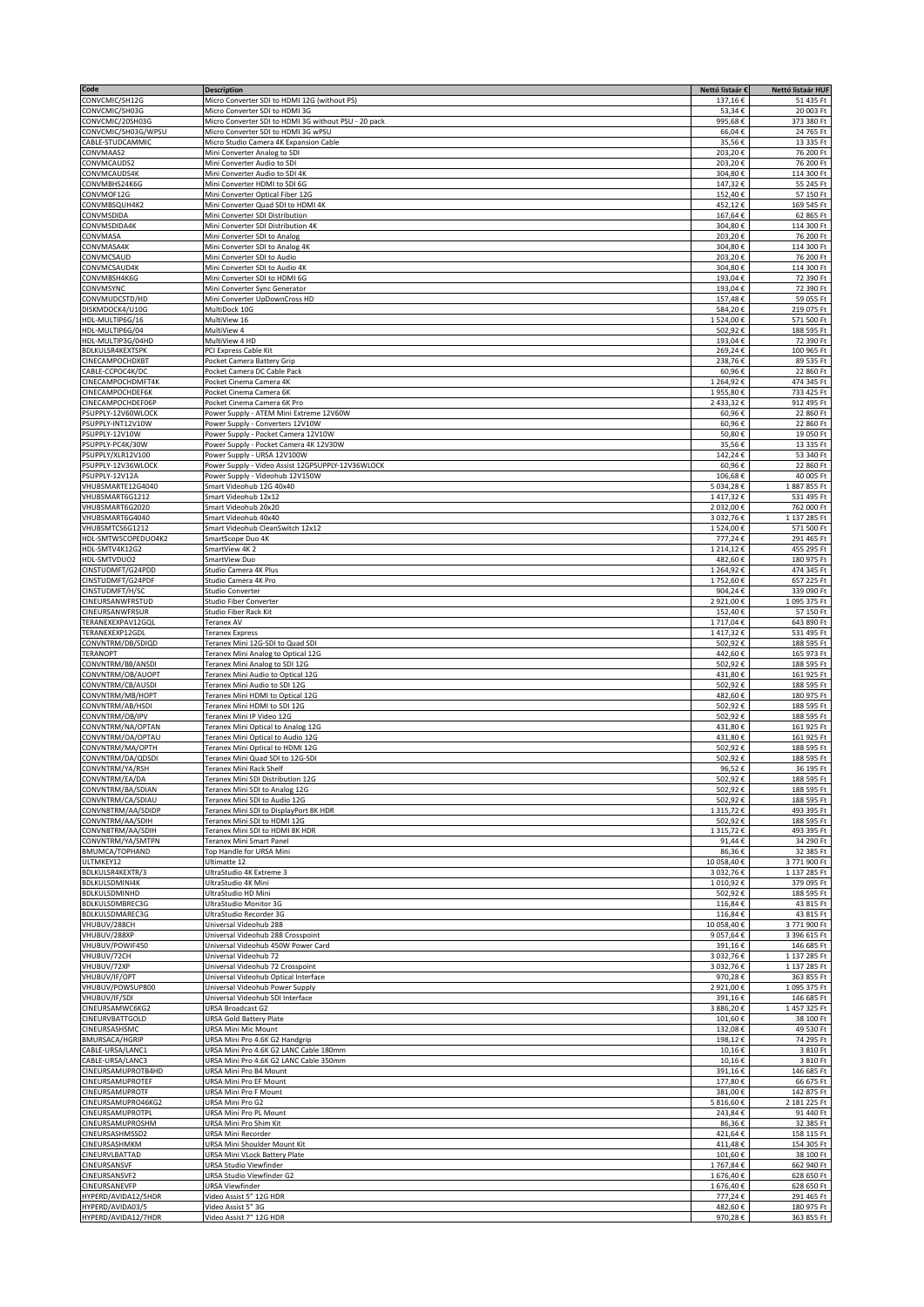| Code                                    | <b>Description</b>                                                      | Nettó listaár €    | Nettó listaár HUF        |
|-----------------------------------------|-------------------------------------------------------------------------|--------------------|--------------------------|
| CONVCMIC/SH12G                          | Micro Converter SDI to HDMI 12G (without PS)                            | 137,16€            | 51 435 Ft                |
| CONVCMIC/SH03G                          | Micro Converter SDI to HDMI 3G                                          | 53,34€             | 20 003 Ft                |
| CONVCMIC/20SH03G                        | Micro Converter SDI to HDMI 3G without PSU - 20 pack                    | 995,68€            | 373 380 Ft               |
| CONVCMIC/SH03G/WPSU                     | Micro Converter SDI to HDMI 3G wPSU                                     | 66,04€             | 24 765 Ft                |
| CABLE-STUDCAMMIC                        | Micro Studio Camera 4K Expansion Cable                                  | 35,56€             | 13 335 Ft                |
| CONVMAAS2                               | Mini Converter Analog to SDI                                            | 203,20€            | 76 200 Ft                |
| CONVMCAUDS2                             | Mini Converter Audio to SDI                                             | 203,20€            | 76 200 Ft                |
| CONVMCAUDS4K                            | Mini Converter Audio to SDI 4K                                          | 304,80€            | 114 300 Ft               |
| CONVMBHS24K6G                           | Mini Converter HDMI to SDI 6G                                           | 147,32€            | 55 245 Ft                |
| CONVMOF12G                              | Mini Converter Optical Fiber 12G                                        | 152,40€            | 57 150 Ft                |
| CONVMBSQUH4K2                           | Mini Converter Quad SDI to HDMI 4K                                      | 452,12€            | 169 545 Ft               |
| CONVMSDIDA                              | Mini Converter SDI Distribution                                         | 167,64€            | 62 865 Ft                |
| CONVMSDIDA4K                            | Mini Converter SDI Distribution 4K                                      | 304,80€            | 114 300 Ft               |
| CONVMASA                                | Mini Converter SDI to Analog                                            | 203,20€            | 76 200 Ft                |
| CONVMASA4K                              | Mini Converter SDI to Analog 4K                                         | 304,80€            | 114 300 Ft               |
| CONVMCSAUD                              | Mini Converter SDI to Audio                                             | 203,20€            | 76 200 Ft                |
| CONVMCSAUD4K                            | Mini Converter SDI to Audio 4K                                          | 304,80€            | 114 300 Ft               |
| CONVMBSH4K6G                            | Mini Converter SDI to HDMI 6G                                           | 193,04€            | 72 390 Ft                |
| CONVMSYNC                               | Mini Converter Sync Generator                                           | 193,04€            | 72 390 Ft                |
| CONVMUDCSTD/HD                          | Mini Converter UpDownCross HD                                           | 157,48€            | 59 055 Ft                |
| DISKMDOCK4/U10G                         | MultiDock 10G                                                           | 584,20€            | 219 075 Ft               |
| HDL-MULTIP6G/16                         | MultiView 16                                                            | 1524,00€           | 571 500 Ft               |
| HDL-MULTIP6G/04                         | MultiView 4                                                             | 502,92€            | 188 595 Ft               |
| HDL-MULTIP3G/04HD                       | MultiView 4 HD                                                          | 193,04€            | 72 390 Ft                |
| <b>BDLKULSR4KEXTSPK</b>                 | PCI Express Cable Kit                                                   | 269,24€            | 100 965 Ft               |
| CINECAMPOCHDXBT                         | Pocket Camera Battery Grip                                              | 238,76€            | 89 535 Ft                |
| CABLE-CCPOC4K/DC                        | Pocket Camera DC Cable Pack                                             | 60,96€             | 22 860 Ft                |
| CINECAMPOCHDMFT4K                       | Pocket Cinema Camera 4K                                                 | 1 264,92 €         | 474 345 Ft               |
| CINECAMPOCHDEF6K                        | Pocket Cinema Camera 6K                                                 | 1955,80€           | 733 425 Ft               |
| CINECAMPOCHDEF06P                       | Pocket Cinema Camera 6K Pro                                             | 2433,32€           | 912 495 Ft               |
| PSUPPLY-12V60WLOCK                      | Power Supply - ATEM Mini Extreme 12V60W                                 | 60,96€             | 22 860 Ft                |
| PSUPPLY-INT12V10W                       | Power Supply - Converters 12V10W                                        | 60,96€             | 22 860 Ft                |
| PSUPPLY-12V10W                          | Power Supply - Pocket Camera 12V10W                                     | 50,80€             | 19 050 Ft                |
| PSUPPLY-PC4K/30W                        |                                                                         |                    |                          |
|                                         | Power Supply - Pocket Camera 4K 12V30W                                  | 35,56€             | 13 335 Ft                |
| PSUPPLY/XLR12V100                       | Power Supply - URSA 12V100W                                             | 142,24€            | 53 340 Ft                |
| PSUPPLY-12V36WLOCK                      | Power Supply - Video Assist 12GPSUPPLY-12V36WLOCK                       | 60,96€             | 22 860 Ft                |
| PSUPPLY-12V12A                          | Power Supply - Videohub 12V150W                                         | 106,68€            | 40 005 Ft                |
| VHUBSMARTE12G4040                       | Smart Videohub 12G 40x40                                                | 5 034,28€          | 1887855 Ft               |
| VHUBSMART6G1212                         | Smart Videohub 12x12                                                    | 1417,32€           | 531 495 Ft               |
| VHUBSMART6G2020                         | Smart Videohub 20x20                                                    | 2 032,00€          | 762 000 Ft               |
| VHUBSMART6G4040                         | Smart Videohub 40x40                                                    | 3 032,76€          | 1 137 285 Ft             |
| VHUBSMTCS6G1212                         | Smart Videohub CleanSwitch 12x12                                        | 1524,00€           | 571 500 Ft               |
| HDL-SMTWSCOPEDUO4K2                     | SmartScope Duo 4K                                                       | 777,24€            | 291 465 Ft               |
| HDL-SMTV4K12G2                          | SmartView 4K 2                                                          | 1 214,12 €         | 455 295 Ft               |
| HDL-SMTVDUO2                            | SmartView Duo                                                           | 482,60€            | 180 975 Ft               |
| CINSTUDMFT/G24PDD                       | Studio Camera 4K Plus                                                   | 1 264,92 €         | 474 345 Ft               |
| CINSTUDMFT/G24PDF                       | Studio Camera 4K Pro                                                    | 1752,60€           | 657 225 Ft               |
| CINSTUDMFT/H/SC                         | <b>Studio Converter</b>                                                 | 904,24€            | 339 090 Ft               |
| CINEURSANWFRSTUD                        | <b>Studio Fiber Converter</b>                                           | 2 921,00€          | 1095 375 Ft              |
| CINEURSANWFRSUR                         | Studio Fiber Rack Kit                                                   | 152,40€            | 57 150 Ft                |
| TERANEXEXPAV12GQI                       | <b>Teranex AV</b>                                                       | 1717,04€           | 643 890 Ft               |
| TERANEXEXP12GDL                         | <b>Teranex Express</b>                                                  | 1417,32€           | 531 495 Ft               |
| CONVNTRM/DB/SDIQD                       | Teranex Mini 12G-SDI to Quad SDI                                        | 502,92€            | 188 595 Ft               |
| <b>TERANOPT</b>                         | Teranex Mini Analog to Optical 12G                                      | 442,60€            | 165 973 Ft               |
| CONVNTRM/BB/ANSDI                       | Teranex Mini Analog to SDI 12G                                          | 502,92€            | 188 595 Ft               |
| CONVNTRM/OB/AUOPT                       | Teranex Mini Audio to Optical 12G                                       | 431,80€            | 161 925 Ft               |
| CONVNTRM/CB/AUSDI                       | Teranex Mini Audio to SDI 12G                                           | 502,92€            | 188 595 Ft               |
| CONVNTRM/MB/HOPT                        | Teranex Mini HDMI to Optical 12G                                        | 482,60€            | 180 975 Ft               |
| CONVNTRM/AB/HSDI                        | Teranex Mini HDMI to SDI 12G                                            | 502,92€            | 188 595 Ft               |
| CONVNTRM/OB/IPV                         | Teranex Mini IP Video 12G                                               | 502,92€            | 188 595 Ft               |
| CONVNTRM/NA/OPTAN                       | Teranex Mini Optical to Analog 12G                                      | 431,80€            | 161 925 Ft               |
| CONVNTRM/OA/OPTAU                       | Teranex Mini Optical to Audio 12G                                       | 431,80€            | 161 925 Ft               |
| CONVNTRM/MA/OPTH                        | Teranex Mini Optical to HDMI 12G                                        | 502,92€            | 188 595 Ft               |
| CONVNTRM/DA/QDSDI                       | Feranex Mini Quad SDI to 12G-SDI                                        | 502,92€            | 188 595 Ft               |
| CONVNTRM/YA/RSH                         | Teranex Mini Rack Shelf                                                 | 96,52€             | 36 195 Ft                |
| CONVNTRM/EA/DA                          | Teranex Mini SDI Distribution 12G                                       | 502,92€            | 188 595 Ft               |
| CONVNTRM/BA/SDIAN                       | Teranex Mini SDI to Analog 12G                                          | 502,92€            | 188 595 Ft               |
|                                         |                                                                         |                    |                          |
| CONVNTRM/CA/SDIAU<br>CONVN8TRM/AA/SDIDP | Teranex Mini SDI to Audio 12G<br>Teranex Mini SDI to DisplayPort 8K HDR | 502,92€            | 188 595 Ft<br>493 395 Ft |
| CONVNTRM/AA/SDIH                        | Teranex Mini SDI to HDMI 12G                                            | 1 315,72€          | 188 595 Ft               |
|                                         |                                                                         | 502,92€            |                          |
| CONVN8TRM/AA/SDIH<br>CONVNTRM/YA/SMTPN  | Teranex Mini SDI to HDMI 8K HDR                                         | 1315,72€           | 493 395 Ft               |
| <b>BMUMCA/TOPHAND</b>                   | Teranex Mini Smart Panel                                                | 91,44€             | 34 290 Ft                |
|                                         | Top Handle for URSA Mini                                                | 86,36€             | 32 385 Ft                |
| ULTMKEY12                               | Ultimatte 12                                                            | 10 058,40€         | 3771900 Ft               |
| BDLKULSR4KEXTR/3                        | UltraStudio 4K Extreme 3                                                | 3 032,76€          | 1 137 285 Ft             |
| BDLKULSDMINI4K<br>BDLKULSDMINHD         | UltraStudio 4K Mini                                                     | 1 010,92€          | 379 095 Ft               |
|                                         | UltraStudio HD Mini<br>UltraStudio Monitor 3G                           | 502,92€            | 188 595 Ft               |
| BDLKULSDMBREC3G<br>BDLKULSDMAREC3G      |                                                                         | 116,84€            | 43 815 Ft                |
|                                         | UltraStudio Recorder 3G                                                 | 116,84€            | 43 815 Ft                |
| VHUBUV/288CH                            | Universal Videohub 288                                                  | 10 058,40€         | 3771 900 Ft              |
| VHUBUV/288XP                            | Universal Videohub 288 Crosspoint                                       | 9 057,64 €         | 3 396 615 Ft             |
| VHUBUV/POWIF450                         | Universal Videohub 450W Power Card                                      | 391,16€            | 146 685 Ft               |
| VHUBUV/72CH                             | Universal Videohub 72                                                   | 3 032,76€          | 1 137 285 Ft             |
| VHUBUV/72XP                             | Universal Videohub 72 Crosspoint                                        | 3 032,76€          | 1 137 285 Ft             |
| VHUBUV/IF/OPT                           | Universal Videohub Optical Interface                                    | 970,28€            | 363 855 Ft               |
| VHUBUV/POWSUP800                        | Universal Videohub Power Supply                                         | 2 921,00€          | 1095 375 Ft              |
| VHUBUV/IF/SDI                           | Universal Videohub SDI Interface                                        | 391,16€            | 146 685 Ft               |
| CINEURSAMWC6KG2                         | URSA Broadcast G2                                                       | 3 886,20€          | 1457 325 Ft              |
| CINEURVBATTGOLD                         | URSA Gold Battery Plate                                                 | 101,60€            | 38 100 Ft                |
| CINEURSASHSMC                           | URSA Mini Mic Mount                                                     | 132,08€            | 49 530 Ft                |
| <b>BMURSACA/HGRIP</b>                   | URSA Mini Pro 4.6K G2 Handgrip                                          | 198,12€            | 74 295 Ft                |
| CABLE-URSA/LANC1                        | URSA Mini Pro 4.6K G2 LANC Cable 180mm                                  | 10,16€             | 3 810 Ft                 |
| CABLE-URSA/LANC3                        | URSA Mini Pro 4.6K G2 LANC Cable 350mm                                  | 10,16€             | 3 810 Ft                 |
| CINEURSAMUPROTB4HD                      | URSA Mini Pro B4 Mount                                                  | 391,16€            | 146 685 Ft               |
| CINEURSAMUPROTEF                        | URSA Mini Pro EF Mount                                                  | 177,80€            | 66 675 Ft                |
| CINEURSAMUPROTF                         | URSA Mini Pro F Mount                                                   | 381,00€            | 142 875 Ft               |
| CINEURSAMUPRO46KG2                      | URSA Mini Pro G2                                                        | 5 816,60€          | 2 181 225 Ft             |
| CINEURSAMUPROTPL                        | URSA Mini Pro PL Mount                                                  | 243,84€            | 91 440 Ft                |
| CINEURSAMUPROSHM                        | URSA Mini Pro Shim Kit                                                  | 86,36€             | 32 385 Ft                |
| CINEURSASHMSSD2                         | URSA Mini Recorder                                                      | 421,64€            | 158 115 Ft               |
| CINEURSASHMKM                           | URSA Mini Shoulder Mount Kit                                            | 411,48€            | 154 305 Ft               |
| CINEURVLBATTAD                          | URSA Mini VLock Battery Plate                                           | 101,60€            | 38 100 Ft                |
| CINEURSANSVF                            | URSA Studio Viewfinder                                                  | 1767,84€           | 662 940 Ft               |
| CINEURSANSVF2                           | URSA Studio Viewfinder G2                                               | 1676,40€           | 628 650 Ft               |
| CINEURSANEVFP                           | URSA Viewfinder                                                         | 1676,40€           | 628 650 Ft               |
|                                         |                                                                         |                    | 291 465 Ft               |
|                                         |                                                                         |                    |                          |
| HYPERD/AVIDA12/5HDR<br>HYPERD/AVIDA03/5 | Video Assist 5" 12G HDR<br>Video Assist 5" 3G                           | 777,24€<br>482,60€ | 180 975 Ft               |